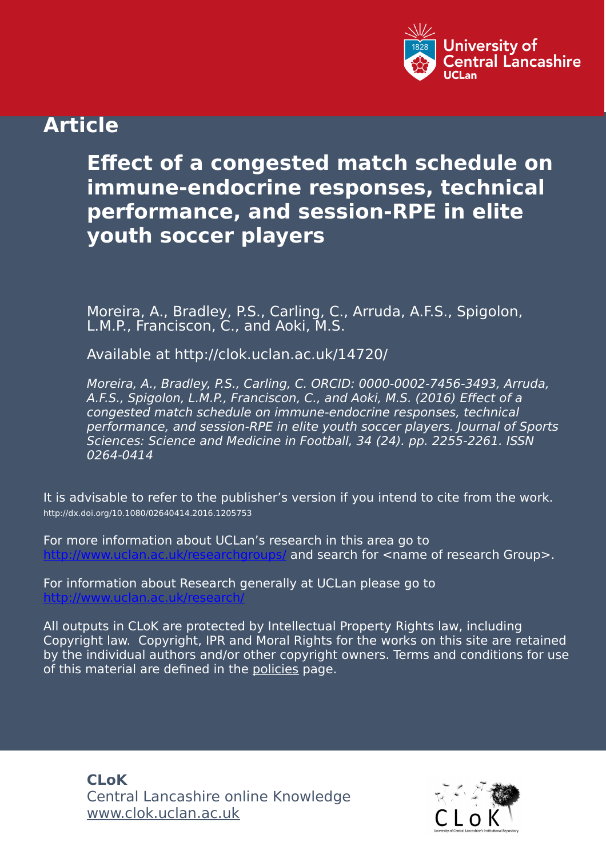

## **Article**

# **Effect of a congested match schedule on immune-endocrine responses, technical performance, and session-RPE in elite youth soccer players**

Moreira, A., Bradley, P.S., Carling, C., Arruda, A.F.S., Spigolon, L.M.P., Franciscon, C., and Aoki, M.S.

Available at http://clok.uclan.ac.uk/14720/

Moreira, A., Bradley, P.S., Carling, C. ORCID: 0000-0002-7456-3493, Arruda, A.F.S., Spigolon, L.M.P., Franciscon, C., and Aoki, M.S. (2016) Effect of a congested match schedule on immune-endocrine responses, technical performance, and session-RPE in elite youth soccer players. Journal of Sports Sciences: Science and Medicine in Football, 34 (24). pp. 2255-2261. ISSN 0264-0414

It is advisable to refer to the publisher's version if you intend to cite from the work. http://dx.doi.org/10.1080/02640414.2016.1205753

For more information about UCLan's research in this area go to and search for <name of research Group>.

For information about Research generally at UCLan please go to <http://www.uclan.ac.uk/research/>

All outputs in CLoK are protected by Intellectual Property Rights law, including Copyright law. Copyright, IPR and Moral Rights for the works on this site are retained by the individual authors and/or other copyright owners. Terms and conditions for use of this material are defined in the [policies](https://clok.uclan.ac.uk/policies.html) page.

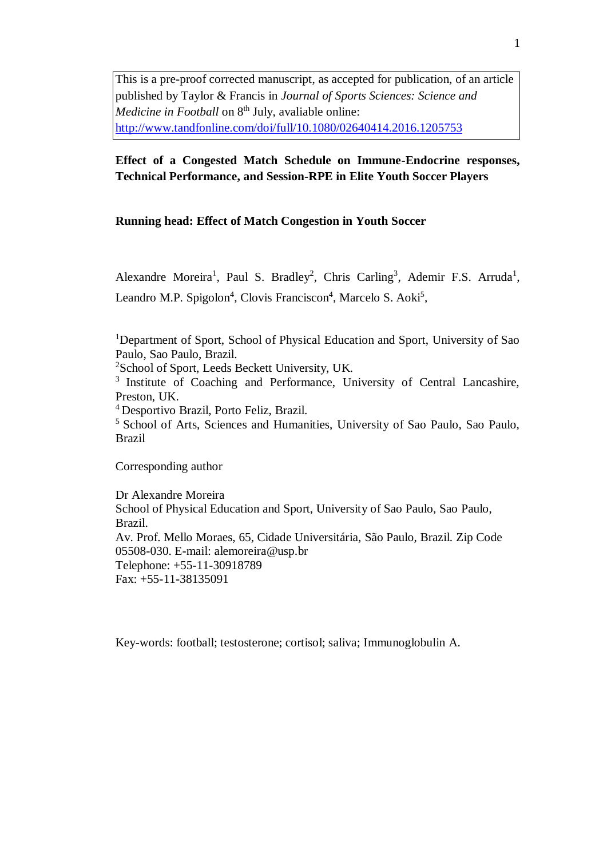This is a pre-proof corrected manuscript, as accepted for publication, of an article published by Taylor & Francis in *Journal of Sports Sciences: Science and Medicine in Football* on 8<sup>th</sup> July, avaliable online: <http://www.tandfonline.com/doi/full/10.1080/02640414.2016.1205753>

## **Effect of a Congested Match Schedule on Immune-Endocrine responses, Technical Performance, and Session-RPE in Elite Youth Soccer Players**

### **Running head: Effect of Match Congestion in Youth Soccer**

Alexandre Moreira<sup>1</sup>, Paul S. Bradley<sup>2</sup>, Chris Carling<sup>3</sup>, Ademir F.S. Arruda<sup>1</sup>, Leandro M.P. Spigolon<sup>4</sup>, Clovis Franciscon<sup>4</sup>, Marcelo S. Aoki<sup>5</sup>,

<sup>1</sup>Department of Sport, School of Physical Education and Sport, University of Sao Paulo, Sao Paulo, Brazil.

<sup>2</sup>School of Sport, Leeds Beckett University, UK.

<sup>3</sup> Institute of Coaching and Performance, University of Central Lancashire, Preston, UK.

<sup>4</sup>Desportivo Brazil, Porto Feliz, Brazil.

<sup>5</sup> School of Arts, Sciences and Humanities, University of Sao Paulo, Sao Paulo, Brazil

Corresponding author

Dr Alexandre Moreira School of Physical Education and Sport, University of Sao Paulo, Sao Paulo, Brazil. Av. Prof. Mello Moraes, 65, Cidade Universitária, São Paulo, Brazil. Zip Code 05508-030. E-mail: alemoreira@usp.br Telephone: +55-11-30918789 Fax: +55-11-38135091

Key-words: football; testosterone; cortisol; saliva; Immunoglobulin A.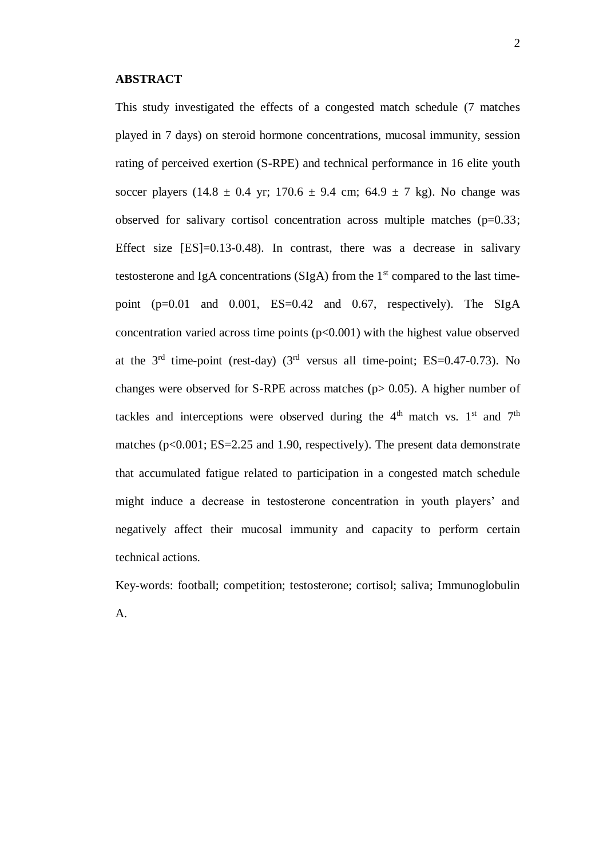This study investigated the effects of a congested match schedule (7 matches played in 7 days) on steroid hormone concentrations, mucosal immunity, session rating of perceived exertion (S-RPE) and technical performance in 16 elite youth soccer players (14.8  $\pm$  0.4 yr; 170.6  $\pm$  9.4 cm; 64.9  $\pm$  7 kg). No change was observed for salivary cortisol concentration across multiple matches  $(p=0.33)$ ; Effect size  $[ES]=0.13-0.48$ . In contrast, there was a decrease in salivary testosterone and IgA concentrations ( $SlgA$ ) from the 1<sup>st</sup> compared to the last timepoint  $(p=0.01$  and  $0.001$ ,  $ES=0.42$  and  $0.67$ , respectively). The SIgA concentration varied across time points  $(p<0.001)$  with the highest value observed at the  $3<sup>rd</sup>$  time-point (rest-day) ( $3<sup>rd</sup>$  versus all time-point; ES=0.47-0.73). No changes were observed for S-RPE across matches ( $p > 0.05$ ). A higher number of tackles and interceptions were observed during the  $4<sup>th</sup>$  match vs. 1<sup>st</sup> and 7<sup>th</sup> matches ( $p<0.001$ ; ES=2.25 and 1.90, respectively). The present data demonstrate that accumulated fatigue related to participation in a congested match schedule might induce a decrease in testosterone concentration in youth players' and negatively affect their mucosal immunity and capacity to perform certain technical actions.

Key-words: football; competition; testosterone; cortisol; saliva; Immunoglobulin A.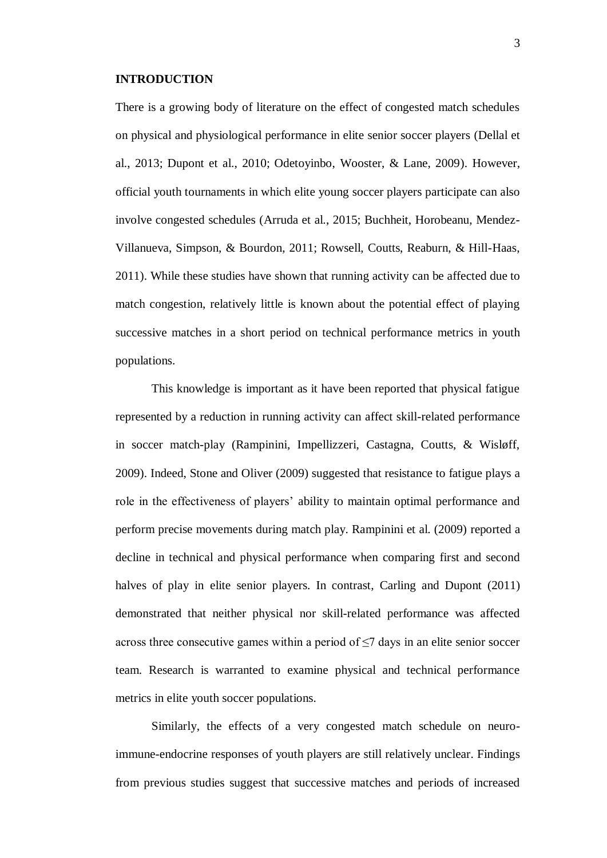#### **INTRODUCTION**

There is a growing body of literature on the effect of congested match schedules on physical and physiological performance in elite senior soccer players (Dellal et al., 2013; Dupont et al., 2010; Odetoyinbo, Wooster, & Lane, 2009). However, official youth tournaments in which elite young soccer players participate can also involve congested schedules (Arruda et al., 2015; Buchheit, Horobeanu, Mendez-Villanueva, Simpson, & Bourdon, 2011; Rowsell, Coutts, Reaburn, & Hill-Haas, 2011). While these studies have shown that running activity can be affected due to match congestion, relatively little is known about the potential effect of playing successive matches in a short period on technical performance metrics in youth populations.

This knowledge is important as it have been reported that physical fatigue represented by a reduction in running activity can affect skill-related performance in soccer match-play (Rampinini, Impellizzeri, Castagna, Coutts, & Wisløff, 2009). Indeed, Stone and Oliver (2009) suggested that resistance to fatigue plays a role in the effectiveness of players' ability to maintain optimal performance and perform precise movements during match play. Rampinini et al. (2009) reported a decline in technical and physical performance when comparing first and second halves of play in elite senior players. In contrast, Carling and Dupont (2011) demonstrated that neither physical nor skill-related performance was affected across three consecutive games within a period of  $\leq$ 7 days in an elite senior soccer team. Research is warranted to examine physical and technical performance metrics in elite youth soccer populations.

Similarly, the effects of a very congested match schedule on neuroimmune-endocrine responses of youth players are still relatively unclear. Findings from previous studies suggest that successive matches and periods of increased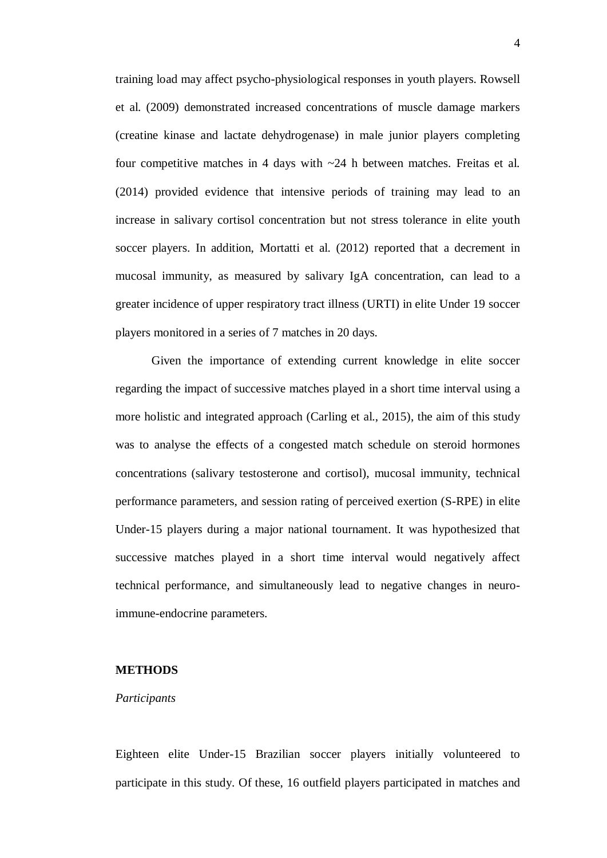training load may affect psycho-physiological responses in youth players. Rowsell et al. (2009) demonstrated increased concentrations of muscle damage markers (creatine kinase and lactate dehydrogenase) in male junior players completing four competitive matches in 4 days with ~24 h between matches. Freitas et al. (2014) provided evidence that intensive periods of training may lead to an increase in salivary cortisol concentration but not stress tolerance in elite youth soccer players. In addition, Mortatti et al. (2012) reported that a decrement in mucosal immunity, as measured by salivary IgA concentration, can lead to a greater incidence of upper respiratory tract illness (URTI) in elite Under 19 soccer players monitored in a series of 7 matches in 20 days.

Given the importance of extending current knowledge in elite soccer regarding the impact of successive matches played in a short time interval using a more holistic and integrated approach (Carling et al., 2015), the aim of this study was to analyse the effects of a congested match schedule on steroid hormones concentrations (salivary testosterone and cortisol), mucosal immunity, technical performance parameters, and session rating of perceived exertion (S-RPE) in elite Under-15 players during a major national tournament. It was hypothesized that successive matches played in a short time interval would negatively affect technical performance, and simultaneously lead to negative changes in neuroimmune-endocrine parameters.

#### **METHODS**

#### *Participants*

Eighteen elite Under-15 Brazilian soccer players initially volunteered to participate in this study. Of these, 16 outfield players participated in matches and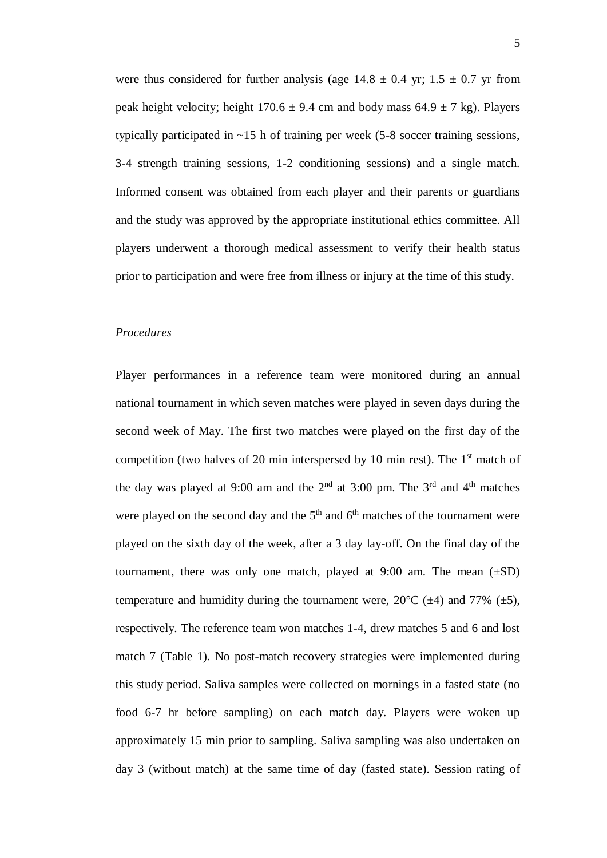were thus considered for further analysis (age  $14.8 \pm 0.4$  yr;  $1.5 \pm 0.7$  yr from peak height velocity; height  $170.6 \pm 9.4$  cm and body mass  $64.9 \pm 7$  kg). Players typically participated in  $\sim$ 15 h of training per week (5-8 soccer training sessions, 3-4 strength training sessions, 1-2 conditioning sessions) and a single match. Informed consent was obtained from each player and their parents or guardians and the study was approved by the appropriate institutional ethics committee. All players underwent a thorough medical assessment to verify their health status prior to participation and were free from illness or injury at the time of this study.

#### *Procedures*

Player performances in a reference team were monitored during an annual national tournament in which seven matches were played in seven days during the second week of May. The first two matches were played on the first day of the competition (two halves of 20 min interspersed by 10 min rest). The  $1<sup>st</sup>$  match of the day was played at 9:00 am and the  $2<sup>nd</sup>$  at 3:00 pm. The  $3<sup>rd</sup>$  and  $4<sup>th</sup>$  matches were played on the second day and the  $5<sup>th</sup>$  and  $6<sup>th</sup>$  matches of the tournament were played on the sixth day of the week, after a 3 day lay-off. On the final day of the tournament, there was only one match, played at  $9:00$  am. The mean  $(\pm SD)$ temperature and humidity during the tournament were,  $20^{\circ}$ C ( $\pm$ 4) and 77% ( $\pm$ 5), respectively. The reference team won matches 1-4, drew matches 5 and 6 and lost match 7 (Table 1). No post-match recovery strategies were implemented during this study period. Saliva samples were collected on mornings in a fasted state (no food 6-7 hr before sampling) on each match day. Players were woken up approximately 15 min prior to sampling. Saliva sampling was also undertaken on day 3 (without match) at the same time of day (fasted state). Session rating of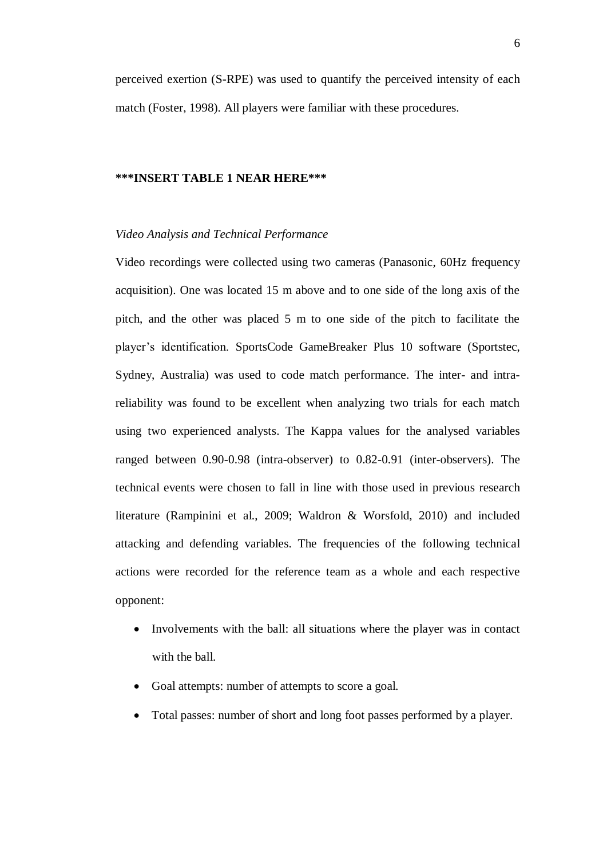perceived exertion (S-RPE) was used to quantify the perceived intensity of each match (Foster, 1998). All players were familiar with these procedures.

#### **\*\*\*INSERT TABLE 1 NEAR HERE\*\*\***

#### *Video Analysis and Technical Performance*

Video recordings were collected using two cameras (Panasonic, 60Hz frequency acquisition). One was located 15 m above and to one side of the long axis of the pitch, and the other was placed 5 m to one side of the pitch to facilitate the player's identification. SportsCode GameBreaker Plus 10 software (Sportstec, Sydney, Australia) was used to code match performance. The inter- and intrareliability was found to be excellent when analyzing two trials for each match using two experienced analysts. The Kappa values for the analysed variables ranged between 0.90-0.98 (intra-observer) to 0.82-0.91 (inter-observers). The technical events were chosen to fall in line with those used in previous research literature (Rampinini et al., 2009; Waldron & Worsfold, 2010) and included attacking and defending variables. The frequencies of the following technical actions were recorded for the reference team as a whole and each respective opponent:

- Involvements with the ball: all situations where the player was in contact with the ball.
- Goal attempts: number of attempts to score a goal.
- Total passes: number of short and long foot passes performed by a player.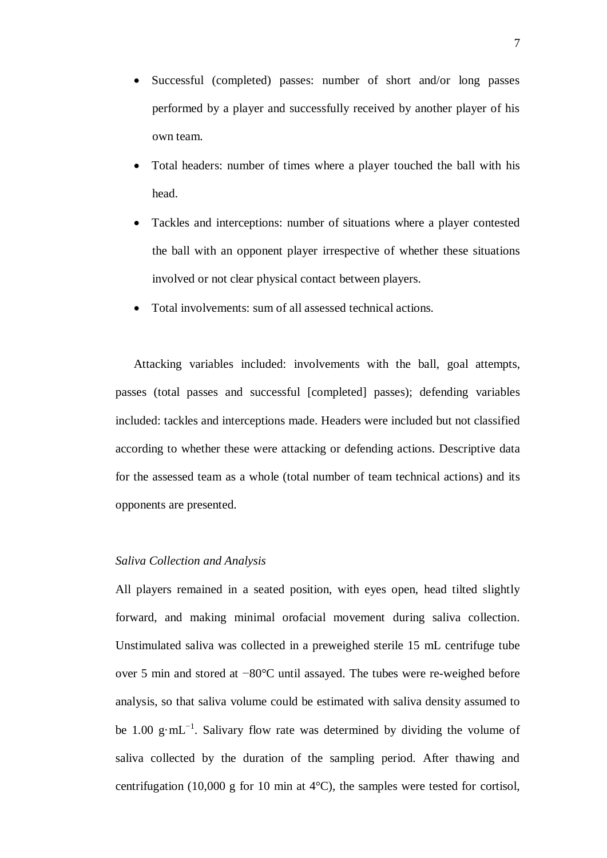- Successful (completed) passes: number of short and/or long passes performed by a player and successfully received by another player of his own team.
- Total headers: number of times where a player touched the ball with his head.
- Tackles and interceptions: number of situations where a player contested the ball with an opponent player irrespective of whether these situations involved or not clear physical contact between players.
- Total involvements: sum of all assessed technical actions.

Attacking variables included: involvements with the ball, goal attempts, passes (total passes and successful [completed] passes); defending variables included: tackles and interceptions made. Headers were included but not classified according to whether these were attacking or defending actions. Descriptive data for the assessed team as a whole (total number of team technical actions) and its opponents are presented.

#### *Saliva Collection and Analysis*

All players remained in a seated position, with eyes open, head tilted slightly forward, and making minimal orofacial movement during saliva collection. Unstimulated saliva was collected in a preweighed sterile 15 mL centrifuge tube over 5 min and stored at −80°C until assayed. The tubes were re-weighed before analysis, so that saliva volume could be estimated with saliva density assumed to be 1.00 g⋅mL<sup>-1</sup>. Salivary flow rate was determined by dividing the volume of saliva collected by the duration of the sampling period. After thawing and centrifugation (10,000 g for 10 min at  $4^{\circ}$ C), the samples were tested for cortisol,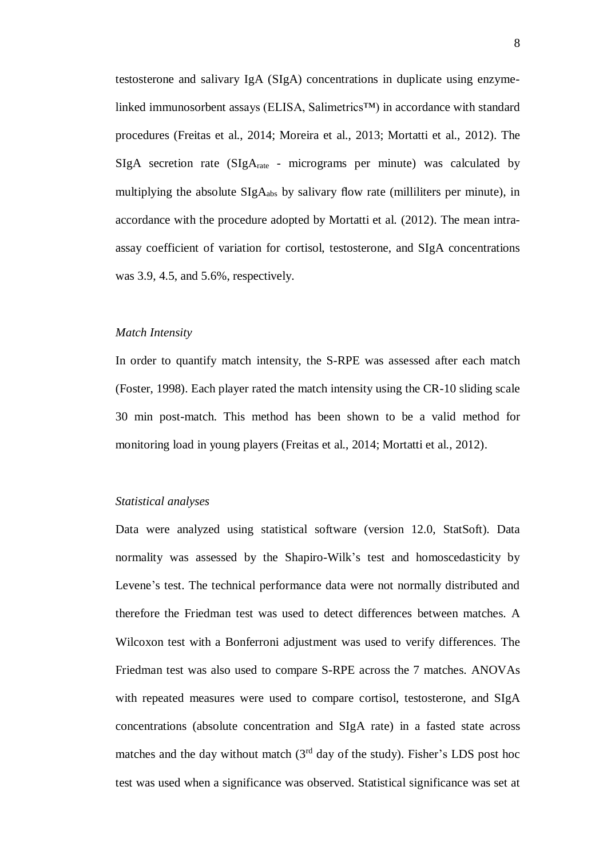testosterone and salivary IgA (SIgA) concentrations in duplicate using enzymelinked immunosorbent assays (ELISA, Salimetrics™) in accordance with standard procedures (Freitas et al., 2014; Moreira et al., 2013; Mortatti et al., 2012). The SIgA secretion rate (SIgArate - micrograms per minute) was calculated by multiplying the absolute  $\text{SigA}_{\text{abs}}$  by salivary flow rate (milliliters per minute), in accordance with the procedure adopted by Mortatti et al. (2012). The mean intraassay coefficient of variation for cortisol, testosterone, and SIgA concentrations was 3.9, 4.5, and 5.6%, respectively.

#### *Match Intensity*

In order to quantify match intensity, the S-RPE was assessed after each match (Foster, 1998). Each player rated the match intensity using the CR-10 sliding scale 30 min post-match. This method has been shown to be a valid method for monitoring load in young players (Freitas et al., 2014; Mortatti et al., 2012).

#### *Statistical analyses*

Data were analyzed using statistical software (version 12.0, StatSoft). Data normality was assessed by the Shapiro-Wilk's test and homoscedasticity by Levene's test. The technical performance data were not normally distributed and therefore the Friedman test was used to detect differences between matches. A Wilcoxon test with a Bonferroni adjustment was used to verify differences. The Friedman test was also used to compare S-RPE across the 7 matches. ANOVAs with repeated measures were used to compare cortisol, testosterone, and SIgA concentrations (absolute concentration and SIgA rate) in a fasted state across matches and the day without match  $(3<sup>rd</sup>$  day of the study). Fisher's LDS post hoc test was used when a significance was observed. Statistical significance was set at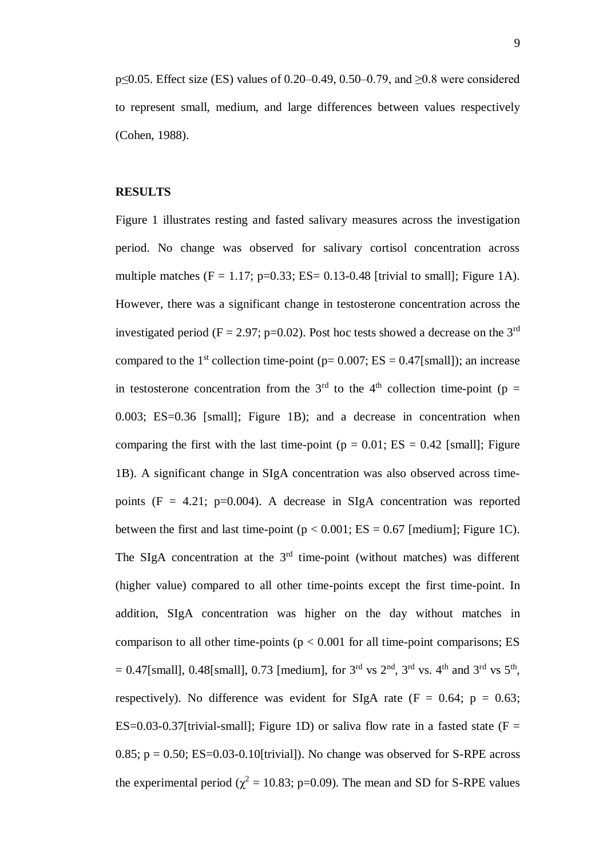p≤0.05. Effect size (ES) values of 0.20–0.49, 0.50–0.79, and ≥0.8 were considered to represent small, medium, and large differences between values respectively (Cohen, 1988).

#### **RESULTS**

Figure 1 illustrates resting and fasted salivary measures across the investigation period. No change was observed for salivary cortisol concentration across multiple matches  $(F = 1.17; p=0.33; ES = 0.13-0.48$  [trivial to small]; Figure 1A). However, there was a significant change in testosterone concentration across the investigated period ( $F = 2.97$ ; p=0.02). Post hoc tests showed a decrease on the 3<sup>rd</sup> compared to the 1<sup>st</sup> collection time-point ( $p= 0.007$ ; ES = 0.47[small]); an increase in testosterone concentration from the  $3<sup>rd</sup>$  to the 4<sup>th</sup> collection time-point (p = 0.003; ES=0.36 [small]; Figure 1B); and a decrease in concentration when comparing the first with the last time-point ( $p = 0.01$ ; ES = 0.42 [small]; Figure 1B). A significant change in SIgA concentration was also observed across timepoints  $(F = 4.21; p=0.004)$ . A decrease in SIgA concentration was reported between the first and last time-point ( $p < 0.001$ ; ES = 0.67 [medium]; Figure 1C). The SIgA concentration at the  $3<sup>rd</sup>$  time-point (without matches) was different (higher value) compared to all other time-points except the first time-point. In addition, SIgA concentration was higher on the day without matches in comparison to all other time-points ( $p < 0.001$  for all time-point comparisons; ES  $= 0.47$ [small], 0.48[small], 0.73 [medium], for 3<sup>rd</sup> vs 2<sup>nd</sup>, 3<sup>rd</sup> vs. 4<sup>th</sup> and 3<sup>rd</sup> vs 5<sup>th</sup>, respectively). No difference was evident for SIgA rate (F = 0.64;  $p = 0.63$ ; ES=0.03-0.37[trivial-small]; Figure 1D) or saliva flow rate in a fasted state ( $F =$ 0.85;  $p = 0.50$ ; ES=0.03-0.10[trivial]). No change was observed for S-RPE across the experimental period ( $\chi^2 = 10.83$ ; p=0.09). The mean and SD for S-RPE values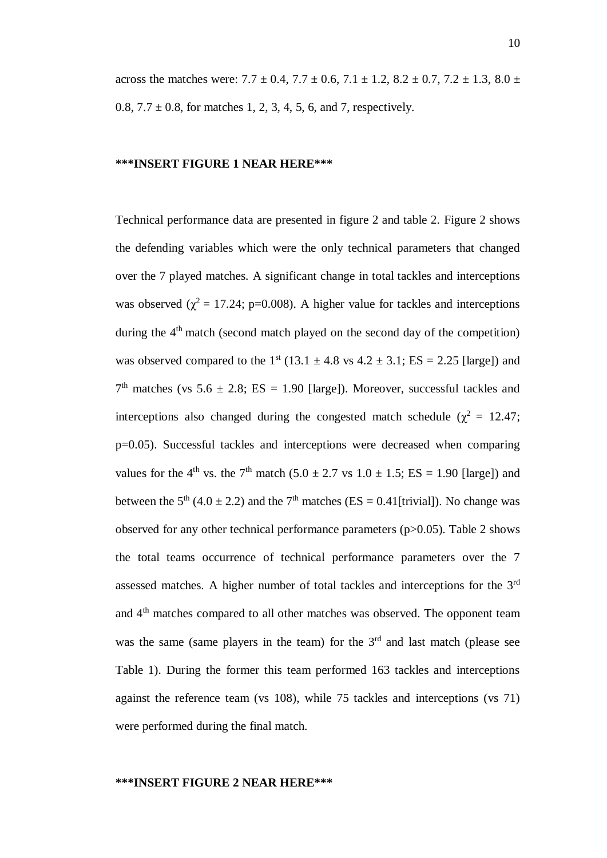across the matches were:  $7.7 \pm 0.4$ ,  $7.7 \pm 0.6$ ,  $7.1 \pm 1.2$ ,  $8.2 \pm 0.7$ ,  $7.2 \pm 1.3$ ,  $8.0 \pm 1.3$ 0.8,  $7.7 \pm 0.8$ , for matches 1, 2, 3, 4, 5, 6, and 7, respectively.

#### **\*\*\*INSERT FIGURE 1 NEAR HERE\*\*\***

Technical performance data are presented in figure 2 and table 2. Figure 2 shows the defending variables which were the only technical parameters that changed over the 7 played matches. A significant change in total tackles and interceptions was observed ( $\chi^2$  = 17.24; p=0.008). A higher value for tackles and interceptions during the  $4<sup>th</sup>$  match (second match played on the second day of the competition) was observed compared to the  $1<sup>st</sup>$  (13.1  $\pm$  4.8 vs 4.2  $\pm$  3.1; ES = 2.25 [large]) and  $7<sup>th</sup>$  matches (vs 5.6  $\pm$  2.8; ES = 1.90 [large]). Moreover, successful tackles and interceptions also changed during the congested match schedule ( $\chi^2 = 12.47$ ; p=0.05). Successful tackles and interceptions were decreased when comparing values for the 4<sup>th</sup> vs. the 7<sup>th</sup> match (5.0  $\pm$  2.7 vs 1.0  $\pm$  1.5; ES = 1.90 [large]) and between the  $5<sup>th</sup>$  (4.0  $\pm$  2.2) and the 7<sup>th</sup> matches (ES = 0.41[trivial]). No change was observed for any other technical performance parameters (p>0.05). Table 2 shows the total teams occurrence of technical performance parameters over the 7 assessed matches. A higher number of total tackles and interceptions for the 3<sup>rd</sup> and 4<sup>th</sup> matches compared to all other matches was observed. The opponent team was the same (same players in the team) for the  $3<sup>rd</sup>$  and last match (please see Table 1). During the former this team performed 163 tackles and interceptions against the reference team (vs 108), while 75 tackles and interceptions (vs 71) were performed during the final match.

#### **\*\*\*INSERT FIGURE 2 NEAR HERE\*\*\***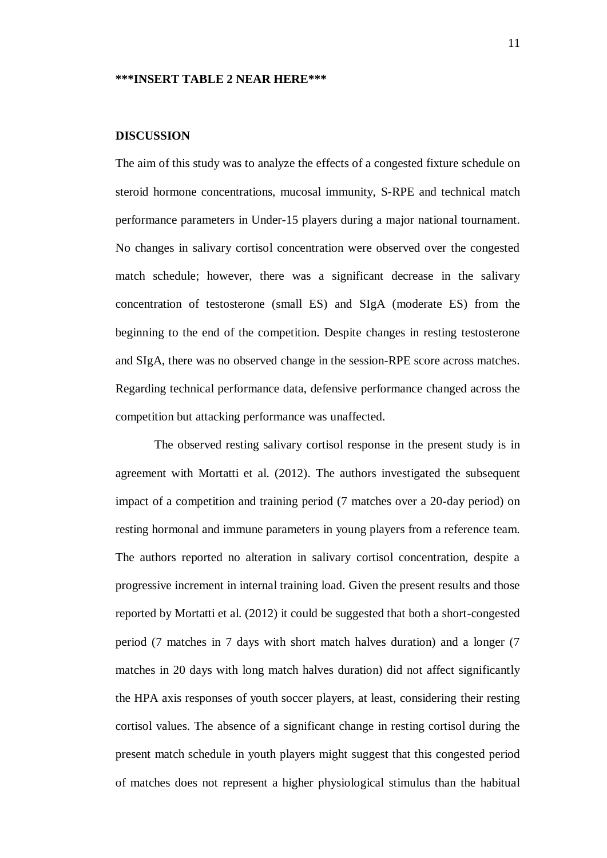#### **\*\*\*INSERT TABLE 2 NEAR HERE\*\*\***

#### **DISCUSSION**

The aim of this study was to analyze the effects of a congested fixture schedule on steroid hormone concentrations, mucosal immunity, S-RPE and technical match performance parameters in Under-15 players during a major national tournament. No changes in salivary cortisol concentration were observed over the congested match schedule; however, there was a significant decrease in the salivary concentration of testosterone (small ES) and SIgA (moderate ES) from the beginning to the end of the competition. Despite changes in resting testosterone and SIgA, there was no observed change in the session-RPE score across matches. Regarding technical performance data, defensive performance changed across the competition but attacking performance was unaffected.

The observed resting salivary cortisol response in the present study is in agreement with Mortatti et al. (2012). The authors investigated the subsequent impact of a competition and training period (7 matches over a 20-day period) on resting hormonal and immune parameters in young players from a reference team. The authors reported no alteration in salivary cortisol concentration, despite a progressive increment in internal training load. Given the present results and those reported by Mortatti et al. (2012) it could be suggested that both a short-congested period (7 matches in 7 days with short match halves duration) and a longer (7 matches in 20 days with long match halves duration) did not affect significantly the HPA axis responses of youth soccer players, at least, considering their resting cortisol values. The absence of a significant change in resting cortisol during the present match schedule in youth players might suggest that this congested period of matches does not represent a higher physiological stimulus than the habitual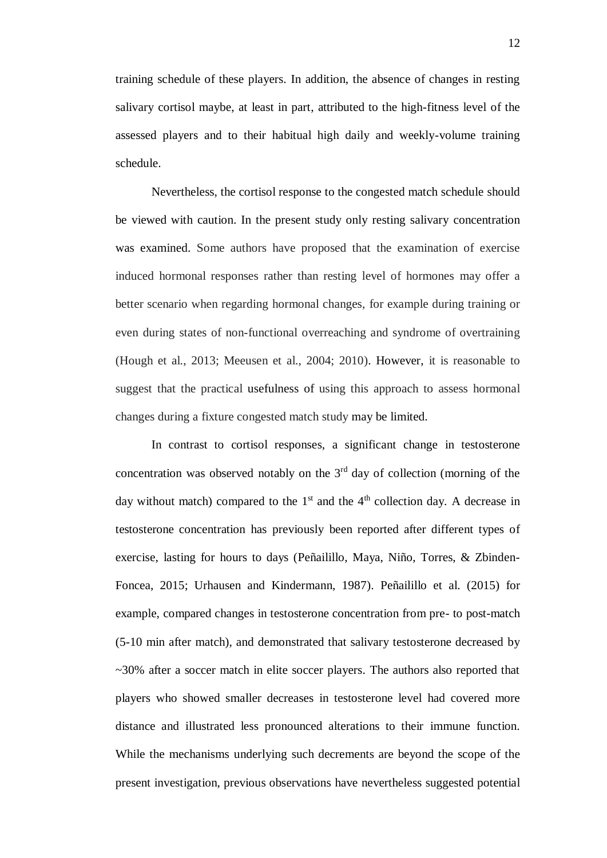training schedule of these players. In addition, the absence of changes in resting salivary cortisol maybe, at least in part, attributed to the high-fitness level of the assessed players and to their habitual high daily and weekly-volume training schedule.

Nevertheless, the cortisol response to the congested match schedule should be viewed with caution. In the present study only resting salivary concentration was examined. Some authors have proposed that the examination of exercise induced hormonal responses rather than resting level of hormones may offer a better scenario when regarding hormonal changes, for example during training or even during states of non-functional overreaching and syndrome of overtraining (Hough et al., 2013; Meeusen et al., 2004; 2010). However, it is reasonable to suggest that the practical usefulness of using this approach to assess hormonal changes during a fixture congested match study may be limited.

In contrast to cortisol responses, a significant change in testosterone concentration was observed notably on the  $3<sup>rd</sup>$  day of collection (morning of the day without match) compared to the  $1<sup>st</sup>$  and the  $4<sup>th</sup>$  collection day. A decrease in testosterone concentration has previously been reported after different types of exercise, lasting for hours to days (Peñailillo, Maya, Niño, Torres, & Zbinden-Foncea, 2015; Urhausen and Kindermann, 1987). Peñailillo et al. (2015) for example, compared changes in testosterone concentration from pre- to post-match (5-10 min after match), and demonstrated that salivary testosterone decreased by ~30% after a soccer match in elite soccer players. The authors also reported that players who showed smaller decreases in testosterone level had covered more distance and illustrated less pronounced alterations to their immune function. While the mechanisms underlying such decrements are beyond the scope of the present investigation, previous observations have nevertheless suggested potential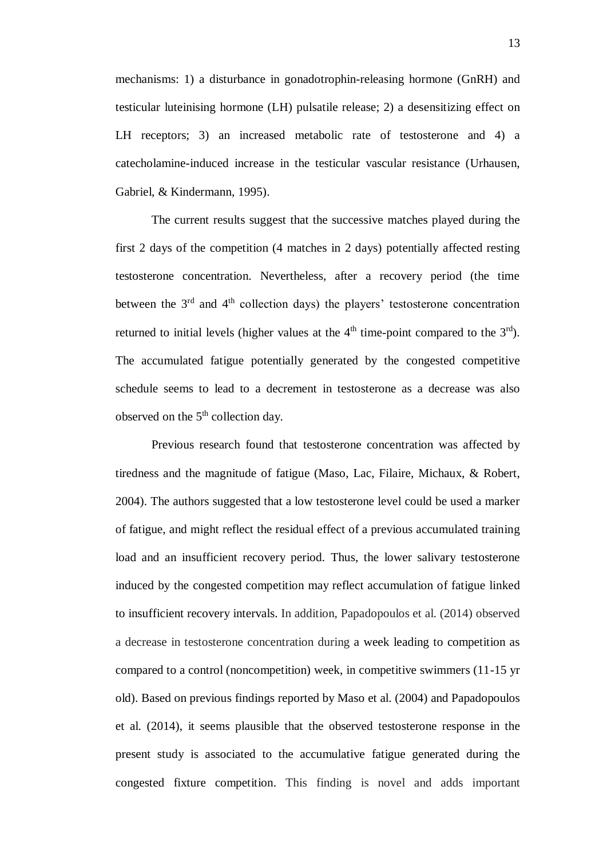mechanisms: 1) a disturbance in gonadotrophin-releasing hormone (GnRH) and testicular luteinising hormone (LH) pulsatile release; 2) a desensitizing effect on LH receptors; 3) an increased metabolic rate of testosterone and 4) a catecholamine-induced increase in the testicular vascular resistance (Urhausen, Gabriel, & Kindermann, 1995).

The current results suggest that the successive matches played during the first 2 days of the competition (4 matches in 2 days) potentially affected resting testosterone concentration. Nevertheless, after a recovery period (the time between the  $3<sup>rd</sup>$  and  $4<sup>th</sup>$  collection days) the players' testosterone concentration returned to initial levels (higher values at the  $4<sup>th</sup>$  time-point compared to the  $3<sup>rd</sup>$ ). The accumulated fatigue potentially generated by the congested competitive schedule seems to lead to a decrement in testosterone as a decrease was also observed on the  $5<sup>th</sup>$  collection day.

Previous research found that testosterone concentration was affected by tiredness and the magnitude of fatigue (Maso, Lac, Filaire, Michaux, & Robert, 2004). The authors suggested that a low testosterone level could be used a marker of fatigue, and might reflect the residual effect of a previous accumulated training load and an insufficient recovery period. Thus, the lower salivary testosterone induced by the congested competition may reflect accumulation of fatigue linked to insufficient recovery intervals. In addition, Papadopoulos et al. (2014) observed a decrease in testosterone concentration during a week leading to competition as compared to a control (noncompetition) week, in competitive swimmers (11-15 yr old). Based on previous findings reported by Maso et al. (2004) and Papadopoulos et al. (2014), it seems plausible that the observed testosterone response in the present study is associated to the accumulative fatigue generated during the congested fixture competition. This finding is novel and adds important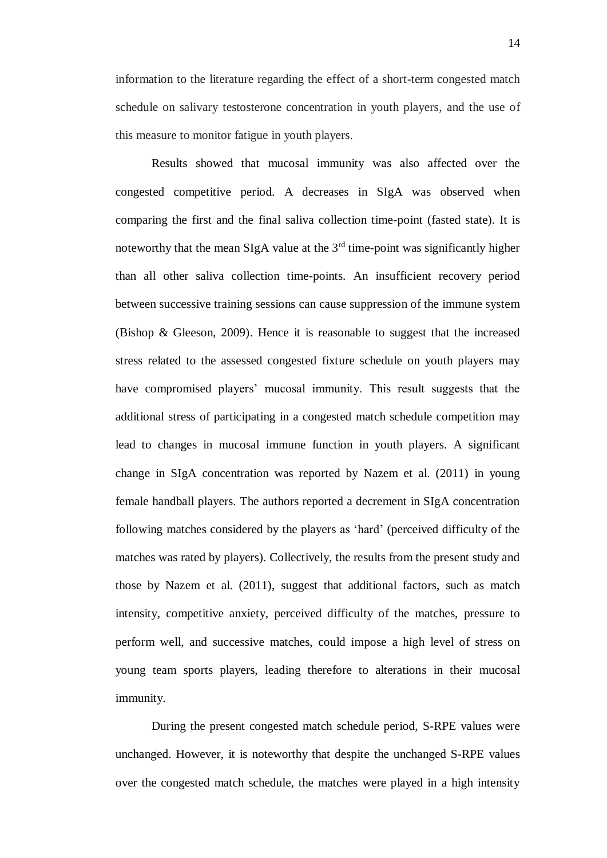information to the literature regarding the effect of a short-term congested match schedule on salivary testosterone concentration in youth players, and the use of this measure to monitor fatigue in youth players.

Results showed that mucosal immunity was also affected over the congested competitive period. A decreases in SIgA was observed when comparing the first and the final saliva collection time-point (fasted state). It is noteworthy that the mean SIgA value at the  $3<sup>rd</sup>$  time-point was significantly higher than all other saliva collection time-points. An insufficient recovery period between successive training sessions can cause suppression of the immune system (Bishop & Gleeson, 2009). Hence it is reasonable to suggest that the increased stress related to the assessed congested fixture schedule on youth players may have compromised players' mucosal immunity. This result suggests that the additional stress of participating in a congested match schedule competition may lead to changes in mucosal immune function in youth players. A significant change in SIgA concentration was reported by Nazem et al. (2011) in young female handball players. The authors reported a decrement in SIgA concentration following matches considered by the players as 'hard' (perceived difficulty of the matches was rated by players). Collectively, the results from the present study and those by Nazem et al. (2011), suggest that additional factors, such as match intensity, competitive anxiety, perceived difficulty of the matches, pressure to perform well, and successive matches, could impose a high level of stress on young team sports players, leading therefore to alterations in their mucosal immunity.

During the present congested match schedule period, S-RPE values were unchanged. However, it is noteworthy that despite the unchanged S-RPE values over the congested match schedule, the matches were played in a high intensity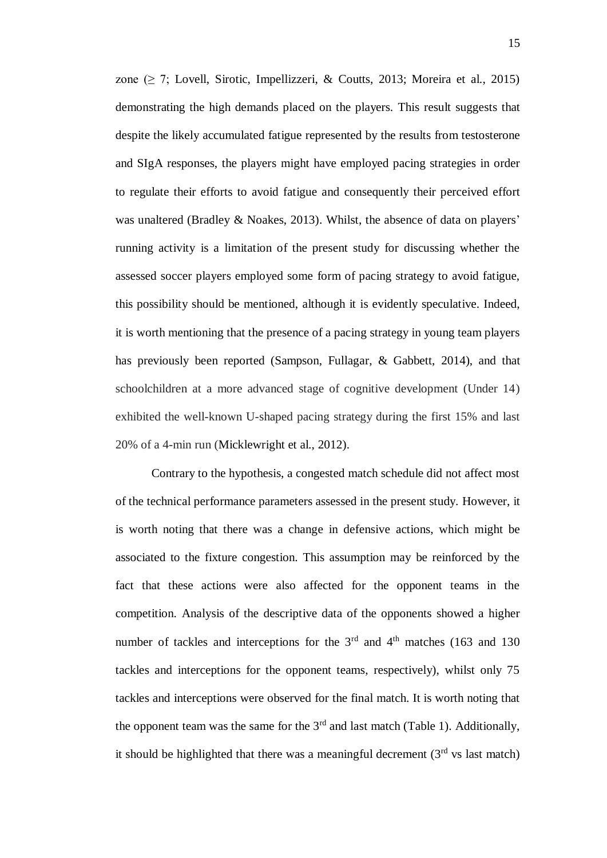zone ( $\geq$  7; Lovell, Sirotic, Impellizzeri, & Coutts, 2013; Moreira et al., 2015) demonstrating the high demands placed on the players. This result suggests that despite the likely accumulated fatigue represented by the results from testosterone and SIgA responses, the players might have employed pacing strategies in order to regulate their efforts to avoid fatigue and consequently their perceived effort was unaltered (Bradley & Noakes, 2013). Whilst, the absence of data on players' running activity is a limitation of the present study for discussing whether the assessed soccer players employed some form of pacing strategy to avoid fatigue, this possibility should be mentioned, although it is evidently speculative. Indeed, it is worth mentioning that the presence of a pacing strategy in young team players has previously been reported (Sampson, Fullagar, & Gabbett, 2014), and that schoolchildren at a more advanced stage of cognitive development (Under 14) exhibited the well-known U-shaped pacing strategy during the first 15% and last 20% of a 4-min run (Micklewright et al., 2012).

Contrary to the hypothesis, a congested match schedule did not affect most of the technical performance parameters assessed in the present study. However, it is worth noting that there was a change in defensive actions, which might be associated to the fixture congestion. This assumption may be reinforced by the fact that these actions were also affected for the opponent teams in the competition. Analysis of the descriptive data of the opponents showed a higher number of tackles and interceptions for the  $3<sup>rd</sup>$  and  $4<sup>th</sup>$  matches (163 and 130) tackles and interceptions for the opponent teams, respectively), whilst only 75 tackles and interceptions were observed for the final match. It is worth noting that the opponent team was the same for the  $3<sup>rd</sup>$  and last match (Table 1). Additionally, it should be highlighted that there was a meaningful decrement  $(3<sup>rd</sup>$  vs last match)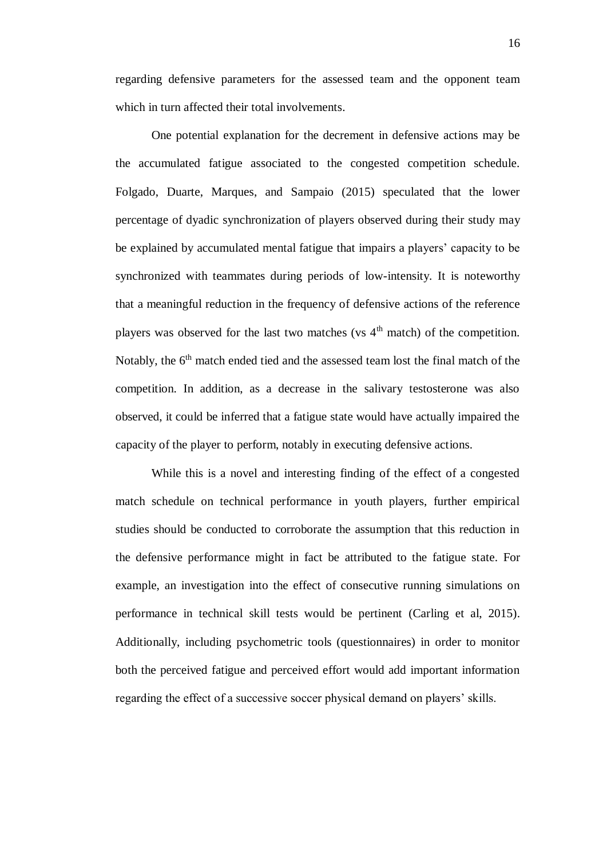regarding defensive parameters for the assessed team and the opponent team which in turn affected their total involvements.

One potential explanation for the decrement in defensive actions may be the accumulated fatigue associated to the congested competition schedule. Folgado, Duarte, Marques, and Sampaio (2015) speculated that the lower percentage of dyadic synchronization of players observed during their study may be explained by accumulated mental fatigue that impairs a players' capacity to be synchronized with teammates during periods of low-intensity. It is noteworthy that a meaningful reduction in the frequency of defensive actions of the reference players was observed for the last two matches (vs  $4<sup>th</sup>$  match) of the competition. Notably, the  $6<sup>th</sup>$  match ended tied and the assessed team lost the final match of the competition. In addition, as a decrease in the salivary testosterone was also observed, it could be inferred that a fatigue state would have actually impaired the capacity of the player to perform, notably in executing defensive actions.

While this is a novel and interesting finding of the effect of a congested match schedule on technical performance in youth players, further empirical studies should be conducted to corroborate the assumption that this reduction in the defensive performance might in fact be attributed to the fatigue state. For example, an investigation into the effect of consecutive running simulations on performance in technical skill tests would be pertinent (Carling et al, 2015). Additionally, including psychometric tools (questionnaires) in order to monitor both the perceived fatigue and perceived effort would add important information regarding the effect of a successive soccer physical demand on players' skills.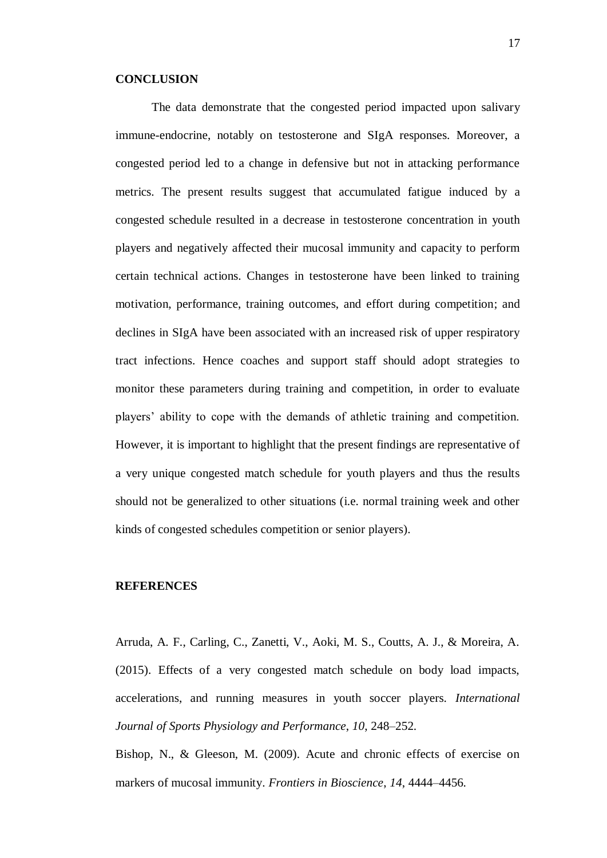#### **CONCLUSION**

The data demonstrate that the congested period impacted upon salivary immune-endocrine, notably on testosterone and SIgA responses. Moreover, a congested period led to a change in defensive but not in attacking performance metrics. The present results suggest that accumulated fatigue induced by a congested schedule resulted in a decrease in testosterone concentration in youth players and negatively affected their mucosal immunity and capacity to perform certain technical actions. Changes in testosterone have been linked to training motivation, performance, training outcomes, and effort during competition; and declines in SIgA have been associated with an increased risk of upper respiratory tract infections. Hence coaches and support staff should adopt strategies to monitor these parameters during training and competition, in order to evaluate players' ability to cope with the demands of athletic training and competition. However, it is important to highlight that the present findings are representative of a very unique congested match schedule for youth players and thus the results should not be generalized to other situations (i.e. normal training week and other kinds of congested schedules competition or senior players).

#### **REFERENCES**

Arruda, A. F., Carling, C., Zanetti, V., Aoki, M. S., Coutts, A. J., & Moreira, A. (2015). Effects of a very congested match schedule on body load impacts, accelerations, and running measures in youth soccer players. *International Journal of Sports Physiology and Performance*, *10*, 248–252.

Bishop, N., & Gleeson, M. (2009). Acute and chronic effects of exercise on markers of mucosal immunity. *Frontiers in Bioscience*, *14*, 4444–4456.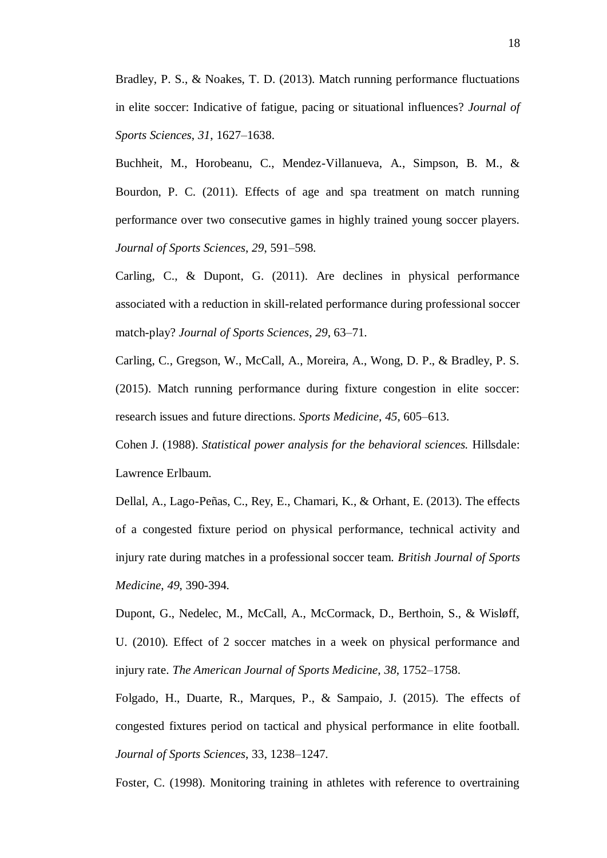Bradley, P. S., & Noakes, T. D. (2013). Match running performance fluctuations in elite soccer: Indicative of fatigue, pacing or situational influences? *Journal of Sports Sciences*, *31*, 1627–1638.

Buchheit, M., Horobeanu, C., Mendez-Villanueva, A., Simpson, B. M., & Bourdon, P. C. (2011). Effects of age and spa treatment on match running performance over two consecutive games in highly trained young soccer players. *Journal of Sports Sciences*, *29*, 591–598.

Carling, C., & Dupont, G. (2011). Are declines in physical performance associated with a reduction in skill-related performance during professional soccer match-play? *Journal of Sports Sciences*, *29*, 63–71.

Carling, C., Gregson, W., McCall, A., Moreira, A., Wong, D. P., & Bradley, P. S. (2015). Match running performance during fixture congestion in elite soccer: research issues and future directions. *Sports Medicine*, *45*, 605–613.

Cohen J. (1988). *Statistical power analysis for the behavioral sciences.* Hillsdale: Lawrence Erlbaum.

Dellal, A., Lago-Peñas, C., Rey, E., Chamari, K., & Orhant, E. (2013). The effects of a congested fixture period on physical performance, technical activity and injury rate during matches in a professional soccer team. *British Journal of Sports Medicine*, *49*, 390-394.

Dupont, G., Nedelec, M., McCall, A., McCormack, D., Berthoin, S., & Wisløff, U. (2010). Effect of 2 soccer matches in a week on physical performance and injury rate. *The American Journal of Sports Medicine*, *38*, 1752–1758.

Folgado, H., Duarte, R., Marques, P., & Sampaio, J. (2015). The effects of congested fixtures period on tactical and physical performance in elite football. *Journal of Sports Sciences*, 33, 1238–1247.

Foster, C. (1998). Monitoring training in athletes with reference to overtraining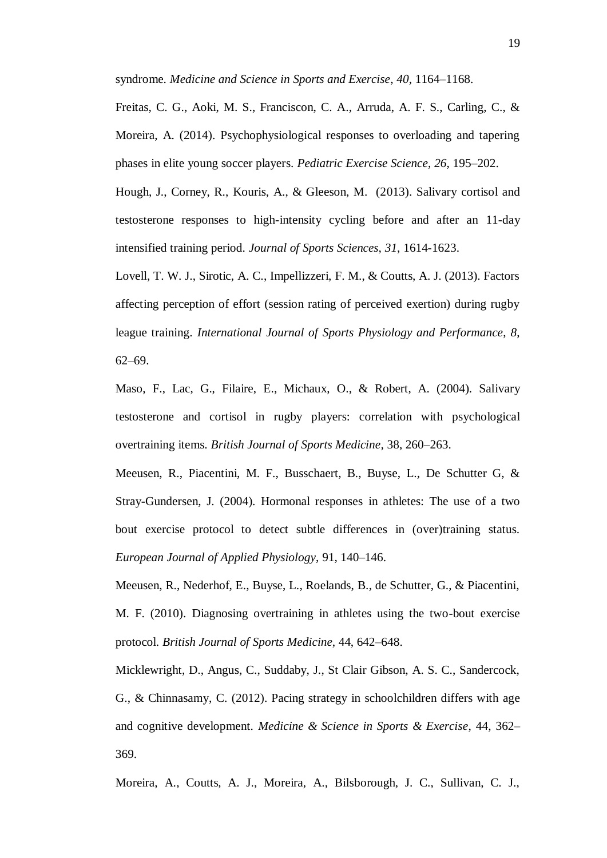syndrome. *Medicine and Science in Sports and Exercise*, *40*, 1164–1168.

Freitas, C. G., Aoki, M. S., Franciscon, C. A., Arruda, A. F. S., Carling, C., & Moreira, A. (2014). Psychophysiological responses to overloading and tapering phases in elite young soccer players. *Pediatric Exercise Science*, *26*, 195–202.

Hough, J., Corney, R., Kouris, A., & Gleeson, M. (2013). Salivary cortisol and testosterone responses to high-intensity cycling before and after an 11-day intensified training period. *Journal of Sports Sciences*, *31*, 1614-1623.

Lovell, T. W. J., Sirotic, A. C., Impellizzeri, F. M., & Coutts, A. J. (2013). Factors affecting perception of effort (session rating of perceived exertion) during rugby league training. *International Journal of Sports Physiology and Performance*, *8*, 62–69.

Maso, F., Lac, G., Filaire, E., Michaux, O., & Robert, A. (2004). Salivary testosterone and cortisol in rugby players: correlation with psychological overtraining items. *British Journal of Sports Medicine,* 38, 260–263.

Meeusen, R., Piacentini, M. F., Busschaert, B., Buyse, L., De Schutter G, & Stray-Gundersen, J. (2004). Hormonal responses in athletes: The use of a two bout exercise protocol to detect subtle differences in (over)training status. *European Journal of Applied Physiology*, 91, 140–146.

Meeusen, R., Nederhof, E., Buyse, L., Roelands, B., de Schutter, G., & Piacentini, M. F. (2010). Diagnosing overtraining in athletes using the two-bout exercise protocol. *British Journal of Sports Medicine*, 44, 642–648.

Micklewright, D., Angus, C., Suddaby, J., St Clair Gibson, A. S. C., Sandercock, G., & Chinnasamy, C. (2012). Pacing strategy in schoolchildren differs with age and cognitive development. *Medicine & Science in Sports & Exercise*, 44, 362– 369.

Moreira, A., Coutts, A. J., Moreira, A., Bilsborough, J. C., Sullivan, C. J.,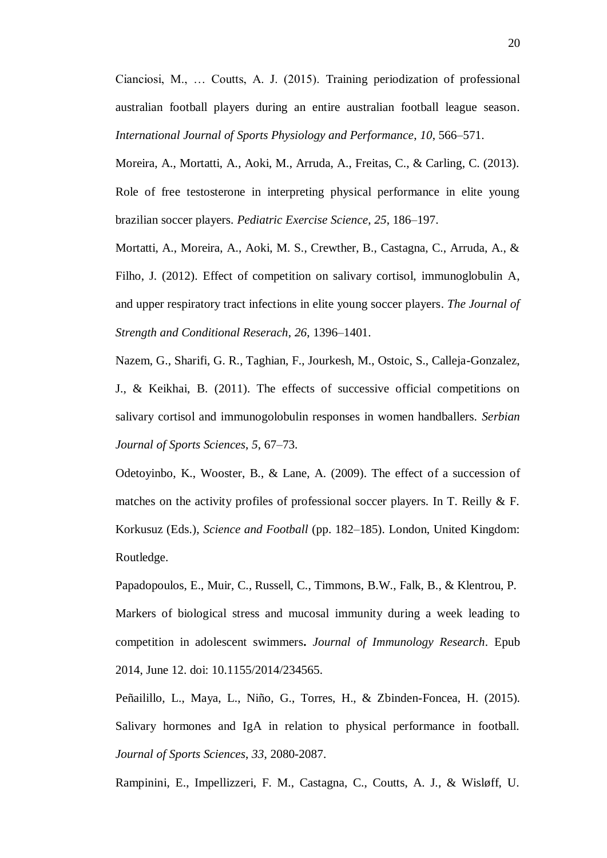Cianciosi, M., … Coutts, A. J. (2015). Training periodization of professional australian football players during an entire australian football league season. *International Journal of Sports Physiology and Performance*, *10*, 566–571.

Moreira, A., Mortatti, A., Aoki, M., Arruda, A., Freitas, C., & Carling, C. (2013). Role of free testosterone in interpreting physical performance in elite young brazilian soccer players. *Pediatric Exercise Science*, *25*, 186–197.

Mortatti, A., Moreira, A., Aoki, M. S., Crewther, B., Castagna, C., Arruda, A., & Filho, J. (2012). Effect of competition on salivary cortisol, immunoglobulin A, and upper respiratory tract infections in elite young soccer players. *The Journal of Strength and Conditional Reserach*, *26*, 1396–1401.

Nazem, G., Sharifi, G. R., Taghian, F., Jourkesh, M., Ostoic, S., Calleja-Gonzalez, J., & Keikhai, B. (2011). The effects of successive official competitions on salivary cortisol and immunogolobulin responses in women handballers. *Serbian Journal of Sports Sciences*, *5*, 67–73.

Odetoyinbo, K., Wooster, B., & Lane, A. (2009). The effect of a succession of matches on the activity profiles of professional soccer players. In T. Reilly & F. Korkusuz (Eds.), *Science and Football* (pp. 182–185). London, United Kingdom: Routledge.

Papadopoulos, E., Muir, C., Russell, C., Timmons, B.W., Falk, B., & Klentrou, P. Markers of biological stress and mucosal immunity during a week leading to competition in adolescent swimmers**.** *Journal of Immunology Research*. Epub 2014, June 12. doi: 10.1155/2014/234565.

Peñailillo, L., Maya, L., Niño, G., Torres, H., & Zbinden-Foncea, H. (2015). Salivary hormones and IgA in relation to physical performance in football. *Journal of Sports Sciences*, *33*, 2080-2087.

Rampinini, E., Impellizzeri, F. M., Castagna, C., Coutts, A. J., & Wisløff, U.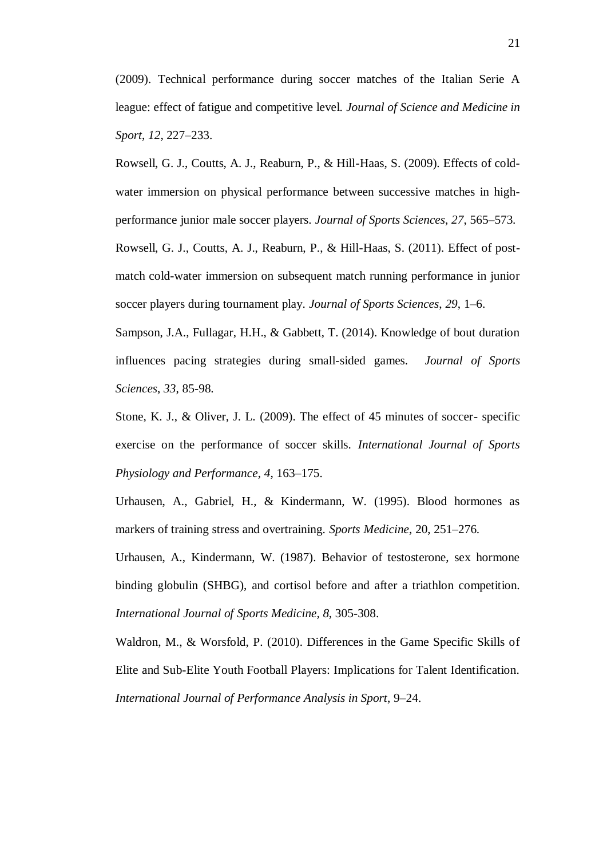(2009). Technical performance during soccer matches of the Italian Serie A league: effect of fatigue and competitive level. *Journal of Science and Medicine in Sport*, *12*, 227–233.

Rowsell, G. J., Coutts, A. J., Reaburn, P., & Hill-Haas, S. (2009). Effects of coldwater immersion on physical performance between successive matches in highperformance junior male soccer players. *Journal of Sports Sciences*, *27*, 565–573. Rowsell, G. J., Coutts, A. J., Reaburn, P., & Hill-Haas, S. (2011). Effect of postmatch cold-water immersion on subsequent match running performance in junior soccer players during tournament play. *Journal of Sports Sciences*, *29*, 1–6.

Sampson, J.A., Fullagar, H.H., & Gabbett, T. (2014). Knowledge of bout duration influences pacing strategies during small-sided games. *Journal of Sports Sciences*, *33*, 85-98.

Stone, K. J., & Oliver, J. L. (2009). The effect of 45 minutes of soccer- specific exercise on the performance of soccer skills. *International Journal of Sports Physiology and Performance*, *4*, 163–175.

Urhausen, A., Gabriel, H., & Kindermann, W. (1995). Blood hormones as markers of training stress and overtraining. *Sports Medicine*, 20, 251–276.

Urhausen, A., Kindermann, W. (1987). Behavior of testosterone, sex hormone binding globulin (SHBG), and cortisol before and after a triathlon competition. *International Journal of Sports Medicine, 8*, 305-308.

Waldron, M., & Worsfold, P. (2010). Differences in the Game Specific Skills of Elite and Sub-Elite Youth Football Players: Implications for Talent Identification. *International Journal of Performance Analysis in Sport*, 9–24.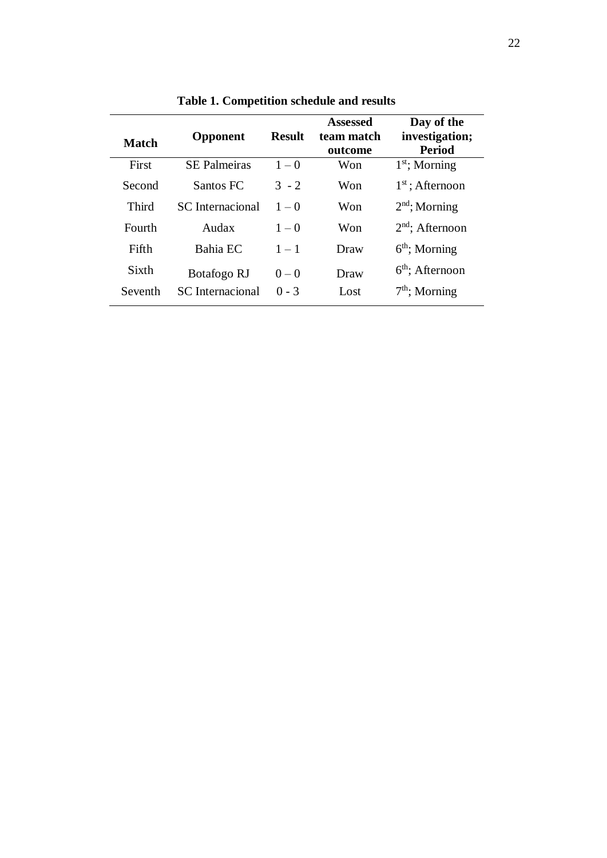| <b>Match</b> | Opponent                | <b>Result</b> | <b>Assessed</b><br>team match<br>outcome | Day of the<br>investigation;<br><b>Period</b> |
|--------------|-------------------------|---------------|------------------------------------------|-----------------------------------------------|
| First        | <b>SE Palmeiras</b>     | $1 - 0$       | Won                                      | $1st$ ; Morning                               |
| Second       | Santos FC               | $3 - 2$       | Won                                      | $1st$ ; Afternoon                             |
| Third        | <b>SC</b> Internacional | $1 - 0$       | Won                                      | $2nd$ ; Morning                               |
| Fourth       | Audax                   | $1 - 0$       | Won                                      | $2nd$ ; Afternoon                             |
| Fifth        | Bahia EC                | $1 - 1$       | Draw                                     | $6th$ ; Morning                               |
| Sixth        | Botafogo RJ             | $0 - 0$       | Draw                                     | $6th$ ; Afternoon                             |
| Seventh      | <b>SC</b> Internacional | $0 - 3$       | Lost                                     | $7th$ ; Morning                               |

**Table 1. Competition schedule and results**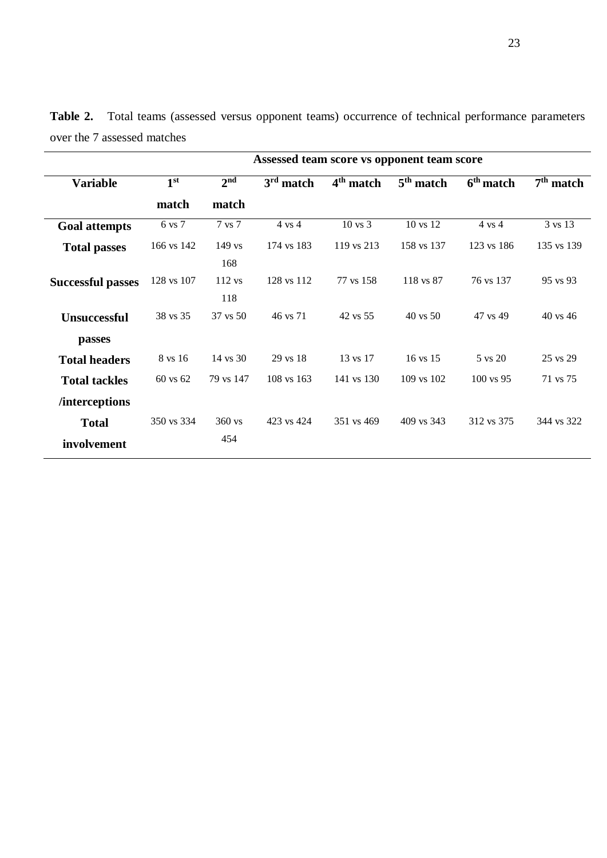|                             | Assessed team score vs opponent team score |                     |                   |                       |                     |                      |             |  |  |
|-----------------------------|--------------------------------------------|---------------------|-------------------|-----------------------|---------------------|----------------------|-------------|--|--|
| <b>Variable</b>             | 1 <sup>st</sup>                            | 2 <sup>nd</sup>     | $3rd$ match       | 4 <sup>th</sup> match | $5th$ match         | $6th$ match          | $7th$ match |  |  |
|                             | match                                      | match               |                   |                       |                     |                      |             |  |  |
| <b>Goal attempts</b>        | 6 vs 7                                     | 7 vs 7              | $4 \text{ vs } 4$ | $10 \text{ vs } 3$    | 10 vs 12            | $4 \text{ vs } 4$    | 3 vs 13     |  |  |
| <b>Total passes</b>         | 166 vs 142                                 | $149$ vs<br>168     | 174 vs 183        | 119 vs 213            | 158 vs 137          | 123 vs 186           | 135 vs 139  |  |  |
| <b>Successful passes</b>    | 128 vs 107                                 | 112 vs<br>118       | 128 vs 112        | 77 vs 158             | 118 vs 87           | 76 vs 137            | 95 vs 93    |  |  |
| <b>Unsuccessful</b>         | 38 vs 35                                   | $37 \text{ vs } 50$ | 46 vs 71          | 42 vs 55              | $40 \text{ vs } 50$ | 47 vs 49             | 40 vs 46    |  |  |
| passes                      |                                            |                     |                   |                       |                     |                      |             |  |  |
| <b>Total headers</b>        | 8 vs 16                                    | 14 vs 30            | 29 vs 18          | 13 vs 17              | 16 vs 15            | 5 vs 20              | 25 vs 29    |  |  |
| <b>Total tackles</b>        | $60 \text{ vs } 62$                        | 79 vs 147           | $108$ vs $163$    | 141 vs 130            | 109 vs 102          | $100 \text{ vs } 95$ | 71 vs 75    |  |  |
| <i>l</i> interceptions      |                                            |                     |                   |                       |                     |                      |             |  |  |
| <b>Total</b><br>involvement | 350 vs 334                                 | $360$ vs<br>454     | 423 vs 424        | 351 vs 469            | 409 vs 343          | 312 vs 375           | 344 vs 322  |  |  |

**Table 2.** Total teams (assessed versus opponent teams) occurrence of technical performance parameters over the 7 assessed matches